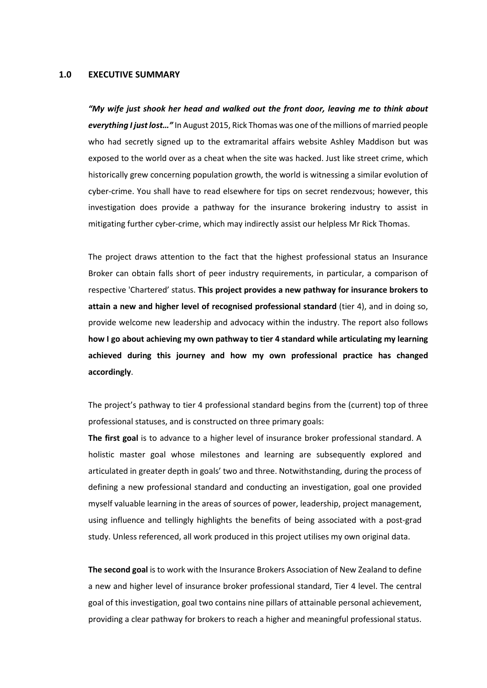## **1.0 EXECUTIVE SUMMARY**

*"My wife just shook her head and walked out the front door, leaving me to think about everything I just lost…"* In August 2015, Rick Thomas was one of the millions of married people who had secretly signed up to the extramarital affairs website Ashley Maddison but was exposed to the world over as a cheat when the site was hacked. Just like street crime, which historically grew concerning population growth, the world is witnessing a similar evolution of cyber-crime. You shall have to read elsewhere for tips on secret rendezvous; however, this investigation does provide a pathway for the insurance brokering industry to assist in mitigating further cyber-crime, which may indirectly assist our helpless Mr Rick Thomas.

The project draws attention to the fact that the highest professional status an Insurance Broker can obtain falls short of peer industry requirements, in particular, a comparison of respective 'Chartered' status. **This project provides a new pathway for insurance brokers to attain a new and higher level of recognised professional standard** (tier 4), and in doing so, provide welcome new leadership and advocacy within the industry. The report also follows **how I go about achieving my own pathway to tier 4 standard while articulating my learning achieved during this journey and how my own professional practice has changed accordingly**.

The project's pathway to tier 4 professional standard begins from the (current) top of three professional statuses, and is constructed on three primary goals:

**The first goal** is to advance to a higher level of insurance broker professional standard. A holistic master goal whose milestones and learning are subsequently explored and articulated in greater depth in goals' two and three. Notwithstanding, during the process of defining a new professional standard and conducting an investigation, goal one provided myself valuable learning in the areas of sources of power, leadership, project management, using influence and tellingly highlights the benefits of being associated with a post-grad study. Unless referenced, all work produced in this project utilises my own original data.

**The second goal** is to work with the Insurance Brokers Association of New Zealand to define a new and higher level of insurance broker professional standard, Tier 4 level. The central goal of this investigation, goal two contains nine pillars of attainable personal achievement, providing a clear pathway for brokers to reach a higher and meaningful professional status.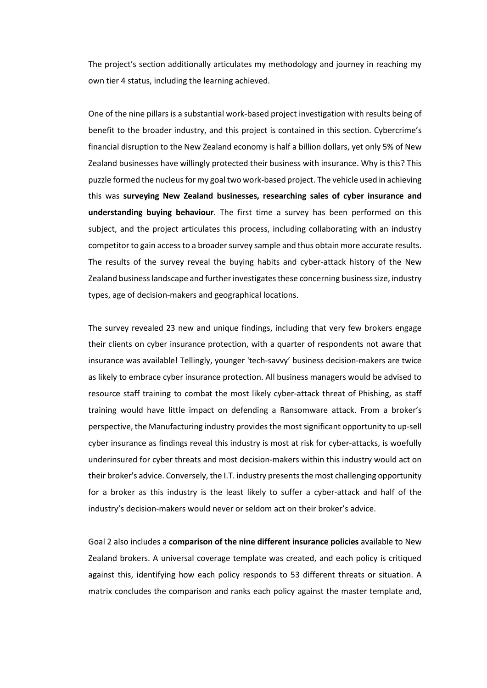The project's section additionally articulates my methodology and journey in reaching my own tier 4 status, including the learning achieved.

One of the nine pillars is a substantial work-based project investigation with results being of benefit to the broader industry, and this project is contained in this section. Cybercrime's financial disruption to the New Zealand economy is half a billion dollars, yet only 5% of New Zealand businesses have willingly protected their business with insurance. Why is this? This puzzle formed the nucleus for my goal two work-based project. The vehicle used in achieving this was **surveying New Zealand businesses, researching sales of cyber insurance and understanding buying behaviour**. The first time a survey has been performed on this subject, and the project articulates this process, including collaborating with an industry competitor to gain access to a broader survey sample and thus obtain more accurate results. The results of the survey reveal the buying habits and cyber-attack history of the New Zealand business landscape and further investigates these concerning business size, industry types, age of decision-makers and geographical locations.

The survey revealed 23 new and unique findings, including that very few brokers engage their clients on cyber insurance protection, with a quarter of respondents not aware that insurance was available! Tellingly, younger 'tech-savvy' business decision-makers are twice as likely to embrace cyber insurance protection. All business managers would be advised to resource staff training to combat the most likely cyber-attack threat of Phishing, as staff training would have little impact on defending a Ransomware attack. From a broker's perspective, the Manufacturing industry provides the most significant opportunity to up-sell cyber insurance as findings reveal this industry is most at risk for cyber-attacks, is woefully underinsured for cyber threats and most decision-makers within this industry would act on their broker's advice. Conversely, the I.T. industry presents the most challenging opportunity for a broker as this industry is the least likely to suffer a cyber-attack and half of the industry's decision-makers would never or seldom act on their broker's advice.

Goal 2 also includes a **comparison of the nine different insurance policies** available to New Zealand brokers. A universal coverage template was created, and each policy is critiqued against this, identifying how each policy responds to 53 different threats or situation. A matrix concludes the comparison and ranks each policy against the master template and,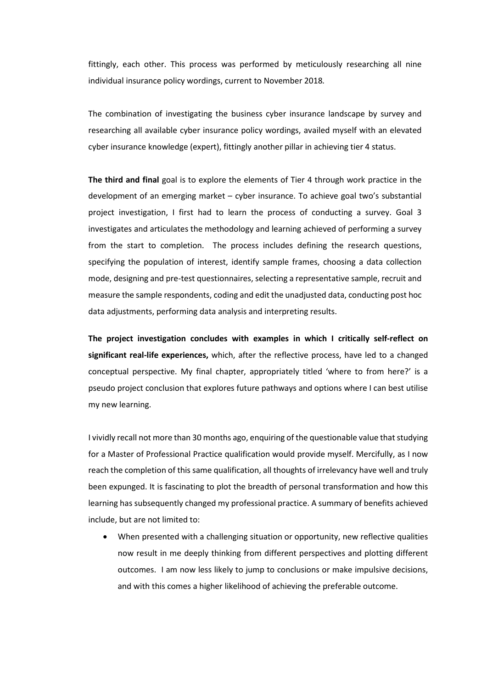fittingly, each other. This process was performed by meticulously researching all nine individual insurance policy wordings, current to November 2018*.* 

The combination of investigating the business cyber insurance landscape by survey and researching all available cyber insurance policy wordings, availed myself with an elevated cyber insurance knowledge (expert), fittingly another pillar in achieving tier 4 status.

**The third and final** goal is to explore the elements of Tier 4 through work practice in the development of an emerging market – cyber insurance. To achieve goal two's substantial project investigation, I first had to learn the process of conducting a survey. Goal 3 investigates and articulates the methodology and learning achieved of performing a survey from the start to completion. The process includes defining the research questions, specifying the population of interest, identify sample frames, choosing a data collection mode, designing and pre-test questionnaires, selecting a representative sample, recruit and measure the sample respondents, coding and edit the unadjusted data, conducting post hoc data adjustments, performing data analysis and interpreting results.

**The project investigation concludes with examples in which I critically self-reflect on significant real-life experiences,** which, after the reflective process, have led to a changed conceptual perspective. My final chapter, appropriately titled 'where to from here?' is a pseudo project conclusion that explores future pathways and options where I can best utilise my new learning.

I vividly recall not more than 30 months ago, enquiring of the questionable value that studying for a Master of Professional Practice qualification would provide myself. Mercifully, as I now reach the completion of this same qualification, all thoughts of irrelevancy have well and truly been expunged. It is fascinating to plot the breadth of personal transformation and how this learning has subsequently changed my professional practice. A summary of benefits achieved include, but are not limited to:

• When presented with a challenging situation or opportunity, new reflective qualities now result in me deeply thinking from different perspectives and plotting different outcomes. I am now less likely to jump to conclusions or make impulsive decisions, and with this comes a higher likelihood of achieving the preferable outcome.